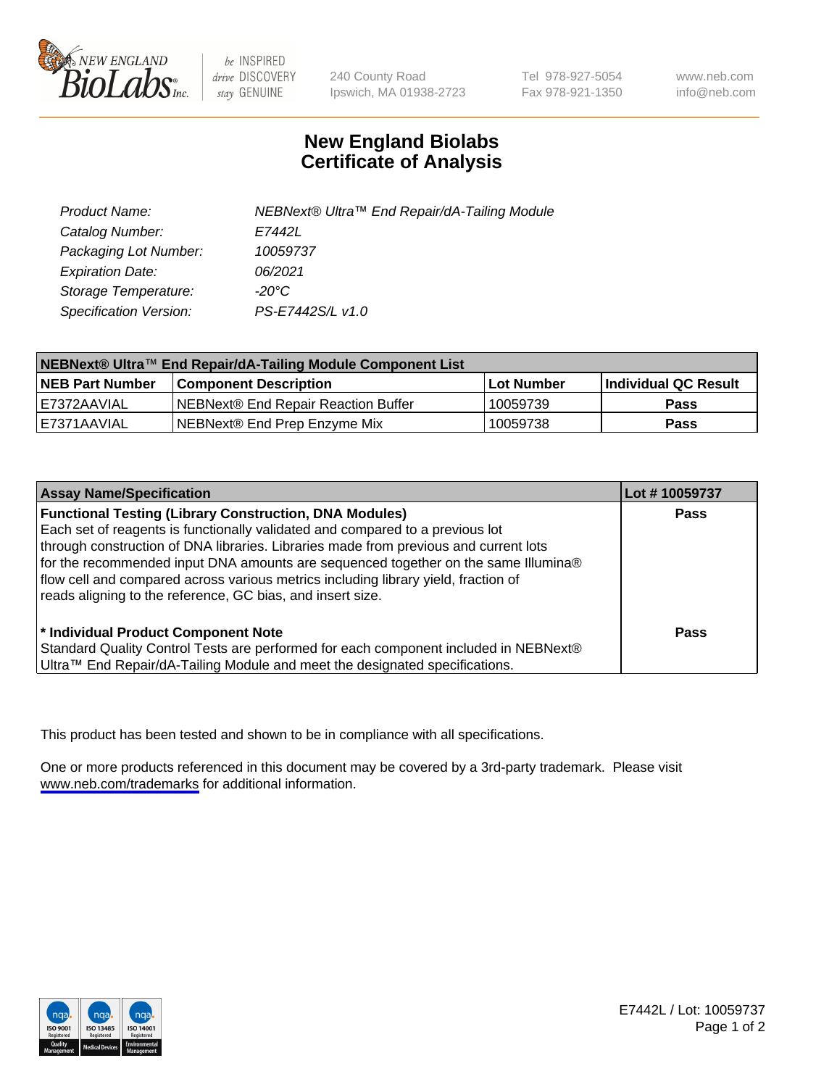

be INSPIRED drive DISCOVERY stay GENUINE

240 County Road Ipswich, MA 01938-2723 Tel 978-927-5054 Fax 978-921-1350

www.neb.com info@neb.com

## **New England Biolabs Certificate of Analysis**

| Product Name:           | NEBNext® Ultra™ End Repair/dA-Tailing Module |
|-------------------------|----------------------------------------------|
| Catalog Number:         | E7442L                                       |
| Packaging Lot Number:   | 10059737                                     |
| <b>Expiration Date:</b> | 06/2021                                      |
| Storage Temperature:    | -20°C                                        |
| Specification Version:  | PS-E7442S/L v1.0                             |

| NEBNext® Ultra™ End Repair/dA-Tailing Module Component List |                                     |                   |                             |  |
|-------------------------------------------------------------|-------------------------------------|-------------------|-----------------------------|--|
| <b>NEB Part Number</b>                                      | <b>Component Description</b>        | <b>Lot Number</b> | <b>Individual QC Result</b> |  |
| I E7372AAVIAL                                               | NEBNext® End Repair Reaction Buffer | 10059739          | <b>Pass</b>                 |  |
| I E7371AAVIAL                                               | NEBNext® End Prep Enzyme Mix        | 10059738          | <b>Pass</b>                 |  |

| <b>Assay Name/Specification</b>                                                                                                                                                                                                                                                                                                                                                                                                                                                  | Lot #10059737 |
|----------------------------------------------------------------------------------------------------------------------------------------------------------------------------------------------------------------------------------------------------------------------------------------------------------------------------------------------------------------------------------------------------------------------------------------------------------------------------------|---------------|
| <b>Functional Testing (Library Construction, DNA Modules)</b><br>Each set of reagents is functionally validated and compared to a previous lot<br>through construction of DNA libraries. Libraries made from previous and current lots<br>for the recommended input DNA amounts are sequenced together on the same Illumina®<br>flow cell and compared across various metrics including library yield, fraction of<br>reads aligning to the reference, GC bias, and insert size. | <b>Pass</b>   |
| * Individual Product Component Note<br>Standard Quality Control Tests are performed for each component included in NEBNext®<br>Ultra™ End Repair/dA-Tailing Module and meet the designated specifications.                                                                                                                                                                                                                                                                       | Pass          |

This product has been tested and shown to be in compliance with all specifications.

One or more products referenced in this document may be covered by a 3rd-party trademark. Please visit <www.neb.com/trademarks>for additional information.